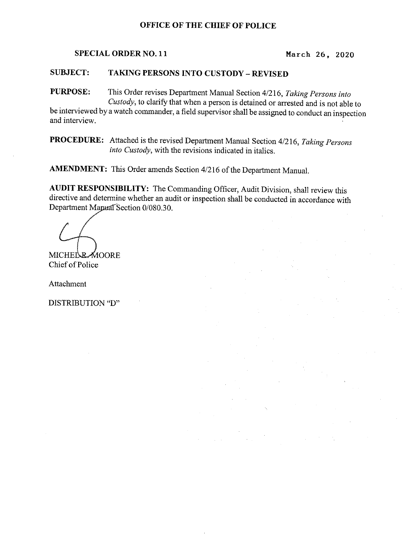## OFFICE OF THE CHIEF OF POLICE

SPECIAL ORDER NO. 11 March 26, 2020

## SUBJECT: TAKING PERSONS INTQ CUSTODY —REVISED

PURPOSE: This Order revises Department Manual Section 4/216, Taking Persons into

<sup>C</sup>ustody, to clarify that when a person is detained or arrested and is not able to <sup>b</sup>e interviewed by a watch commander, a field supervisor shall be assigned to conduct an inspection <sup>a</sup>nd interview.

PROCEDURE: Attached is the revised Department Manual Section 4/216, Taking Persons into Custody, with the revisions indicated in italics.

AMENDMENT: This Order amends Section 4/216 of the Department Manual.

<sup>A</sup>UDIT RESPONSIBILITY: The Commanding Officer, Audit Division, shall review this <sup>d</sup>irective and determine whether an audit or inspection shall be conducted in accordance with Department Mapad Section 0/080.30.

**MICHEL RAOORE** Chief of Police

Attachment

DISTRIBUTION "D"